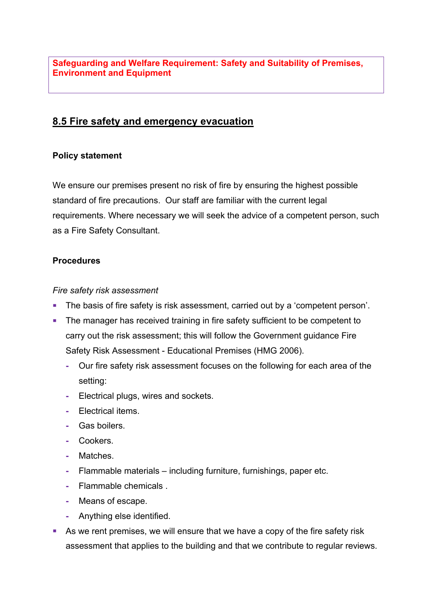**Safeguarding and Welfare Requirement: Safety and Suitability of Premises, Environment and Equipment**

# **8.5 Fire safety and emergency evacuation**

#### **Policy statement**

We ensure our premises present no risk of fire by ensuring the highest possible standard of fire precautions. Our staff are familiar with the current legal requirements. Where necessary we will seek the advice of a competent person, such as a Fire Safety Consultant.

#### **Procedures**

#### *Fire safety risk assessment*

- The basis of fire safety is risk assessment, carried out by a 'competent person'.
- The manager has received training in fire safety sufficient to be competent to carry out the risk assessment; this will follow the Government guidance Fire Safety Risk Assessment - Educational Premises (HMG 2006).
	- **-** Our fire safety risk assessment focuses on the following for each area of the setting:
	- **-** Electrical plugs, wires and sockets.
	- **-** Electrical items.
	- **-** Gas boilers.
	- **-** Cookers.
	- **-** Matches.
	- **-** Flammable materials including furniture, furnishings, paper etc.
	- **-** Flammable chemicals .
	- **-** Means of escape.
	- **-** Anything else identified.
- As we rent premises, we will ensure that we have a copy of the fire safety risk assessment that applies to the building and that we contribute to regular reviews.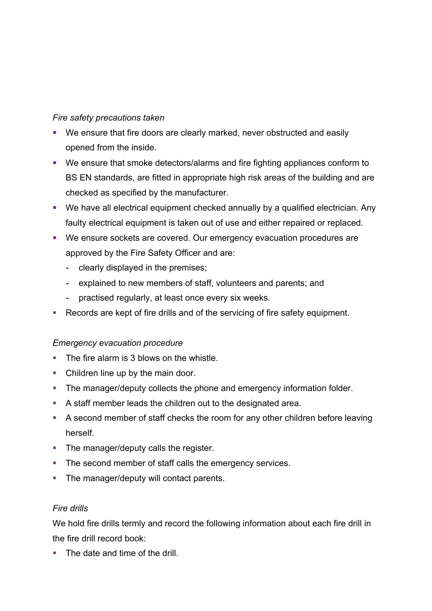## *Fire safety precautions taken*

- We ensure that fire doors are clearly marked, never obstructed and easily opened from the inside.
- We ensure that smoke detectors/alarms and fire fighting appliances conform to BS EN standards, are fitted in appropriate high risk areas of the building and are checked as specified by the manufacturer.
- We have all electrical equipment checked annually by a qualified electrician. Any faulty electrical equipment is taken out of use and either repaired or replaced.
- We ensure sockets are covered. Our emergency evacuation procedures are approved by the Fire Safety Officer and are:
	- **-** clearly displayed in the premises;
	- **-** explained to new members of staff, volunteers and parents; and
	- **-** practised regularly, at least once every six weeks.
- Records are kept of fire drills and of the servicing of fire safety equipment.

## *Emergency evacuation procedure*

- The fire alarm is 3 blows on the whistle.
- Children line up by the main door.
- The manager/deputy collects the phone and emergency information folder.
- **A staff member leads the children out to the designated area.**
- § A second member of staff checks the room for any other children before leaving herself.
- The manager/deputy calls the register.
- The second member of staff calls the emergency services.
- The manager/deputy will contact parents.

## *Fire drills*

We hold fire drills termly and record the following information about each fire drill in the fire drill record book:

• The date and time of the drill.